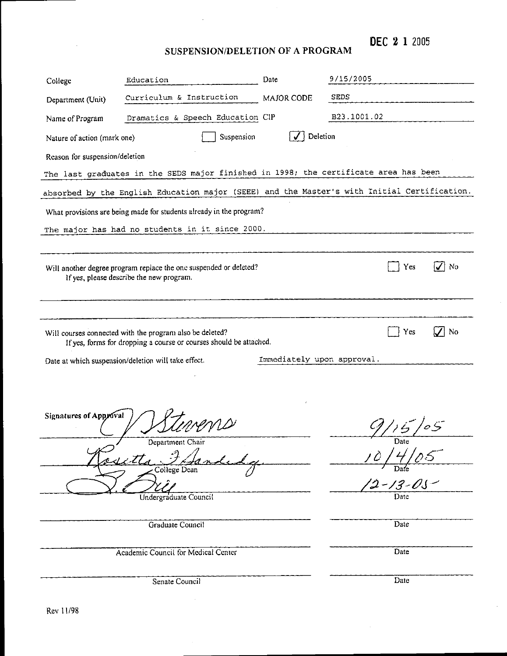DEC 2 1 2005

 $\hat{\boldsymbol{\beta}}$ 

SUSPENSION/DELETION OF A PROGRAM

 $\bar{z}$ 

| College                                                                                                                    | Education                                                | Date          | 9/15/2005        |  |  |  |  |
|----------------------------------------------------------------------------------------------------------------------------|----------------------------------------------------------|---------------|------------------|--|--|--|--|
| Department (Unit)                                                                                                          | Curriculum & Instruction                                 | MAJOR CODE    | <b>SEDS</b>      |  |  |  |  |
| Name of Program                                                                                                            | Dramatics & Speech Education CIP                         |               | B23.1001.02      |  |  |  |  |
| Deletion<br>Suspension<br>Nature of action (mark one)                                                                      |                                                          |               |                  |  |  |  |  |
| Reason for suspension/deletion                                                                                             |                                                          |               |                  |  |  |  |  |
| The last graduates in the SEDS major finished in 1998; the certificate area has been                                       |                                                          |               |                  |  |  |  |  |
| absorbed by the English Education major (SEEE) and the Master's with Initial Certification.                                |                                                          |               |                  |  |  |  |  |
| What provisions are being made for students already in the program?                                                        |                                                          |               |                  |  |  |  |  |
| The major has had no students in it since 2000.                                                                            |                                                          |               |                  |  |  |  |  |
|                                                                                                                            |                                                          |               |                  |  |  |  |  |
| No<br>Will another degree program replace the one suspended or deleted?<br>Yes<br>If yes, please describe the new program. |                                                          |               |                  |  |  |  |  |
|                                                                                                                            |                                                          |               |                  |  |  |  |  |
|                                                                                                                            |                                                          |               |                  |  |  |  |  |
|                                                                                                                            | Will courses connected with the program also be deleted? |               | <b>No</b><br>Yes |  |  |  |  |
| If yes, forms for dropping a course or courses should be attached.                                                         |                                                          |               |                  |  |  |  |  |
| Immediately upon approval.<br>Date at which suspension/deletion will take effect.                                          |                                                          |               |                  |  |  |  |  |
|                                                                                                                            |                                                          |               |                  |  |  |  |  |
|                                                                                                                            |                                                          |               |                  |  |  |  |  |
| Signatures of Approval                                                                                                     |                                                          |               | 9/15/05          |  |  |  |  |
|                                                                                                                            | Department Chair                                         |               | Date             |  |  |  |  |
|                                                                                                                            | i e tta<br>College Dean                                  |               |                  |  |  |  |  |
|                                                                                                                            |                                                          | $2 - 13 - 05$ |                  |  |  |  |  |
| Date<br>Undergraduate Council                                                                                              |                                                          |               |                  |  |  |  |  |
|                                                                                                                            | Graduate Council                                         | Date          |                  |  |  |  |  |
|                                                                                                                            |                                                          |               |                  |  |  |  |  |
| Academic Council for Medical Center<br>Date                                                                                |                                                          |               |                  |  |  |  |  |
|                                                                                                                            | Senate Council                                           | Date          |                  |  |  |  |  |
|                                                                                                                            |                                                          |               |                  |  |  |  |  |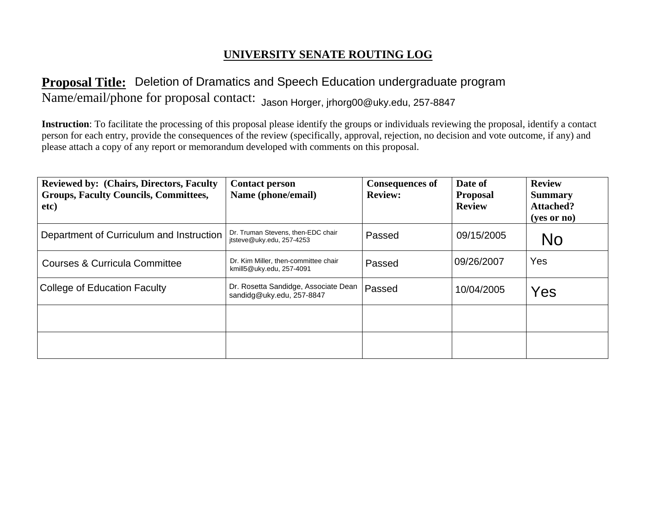# **UNIVERSITY SENATE ROUTING LOG**

# **Proposal Title: Deletion of Dramatics and Speech Education undergraduate program** Name/email/phone for proposal contact: Jason Horger, jrhorg00@uky.edu, 257-8847

| <b>Proposal Title:</b> Deletion of Dramatics and Speech Education undergraduate program                                                                                                                                                                                                                                                                                                              |                                                                   |                                          |                                             |                                                                    |  |  |  |
|------------------------------------------------------------------------------------------------------------------------------------------------------------------------------------------------------------------------------------------------------------------------------------------------------------------------------------------------------------------------------------------------------|-------------------------------------------------------------------|------------------------------------------|---------------------------------------------|--------------------------------------------------------------------|--|--|--|
| Name/email/phone for proposal contact: Jason Horger, jrhorg00@uky.edu, 257-8847                                                                                                                                                                                                                                                                                                                      |                                                                   |                                          |                                             |                                                                    |  |  |  |
| <b>Instruction</b> : To facilitate the processing of this proposal please identify the groups or individuals reviewing the proposal, identify a contact<br>person for each entry, provide the consequences of the review (specifically, approval, rejection, no decision and vote outcome, if any) and<br>please attach a copy of any report or memorandum developed with comments on this proposal. |                                                                   |                                          |                                             |                                                                    |  |  |  |
| <b>Reviewed by: (Chairs, Directors, Faculty)</b><br><b>Groups, Faculty Councils, Committees,</b><br>etc)                                                                                                                                                                                                                                                                                             | <b>Contact person</b><br>Name (phone/email)                       | <b>Consequences of</b><br><b>Review:</b> | Date of<br><b>Proposal</b><br><b>Review</b> | <b>Review</b><br><b>Summary</b><br><b>Attached?</b><br>(yes or no) |  |  |  |
| Department of Curriculum and Instruction                                                                                                                                                                                                                                                                                                                                                             | Dr. Truman Stevens, then-EDC chair<br>itsteve@uky.edu, 257-4253   | Passed                                   | 09/15/2005                                  | <b>No</b>                                                          |  |  |  |
| <b>Courses &amp; Curricula Committee</b>                                                                                                                                                                                                                                                                                                                                                             | Dr. Kim Miller, then-committee chair<br>kmill5@uky.edu, 257-4091  | Passed                                   | 09/26/2007                                  | Yes                                                                |  |  |  |
| College of Education Faculty                                                                                                                                                                                                                                                                                                                                                                         | Dr. Rosetta Sandidge, Associate Dean<br>sandidg@uky.edu, 257-8847 | Passed                                   | 10/04/2005                                  | Yes                                                                |  |  |  |
|                                                                                                                                                                                                                                                                                                                                                                                                      |                                                                   |                                          |                                             |                                                                    |  |  |  |
|                                                                                                                                                                                                                                                                                                                                                                                                      |                                                                   |                                          |                                             |                                                                    |  |  |  |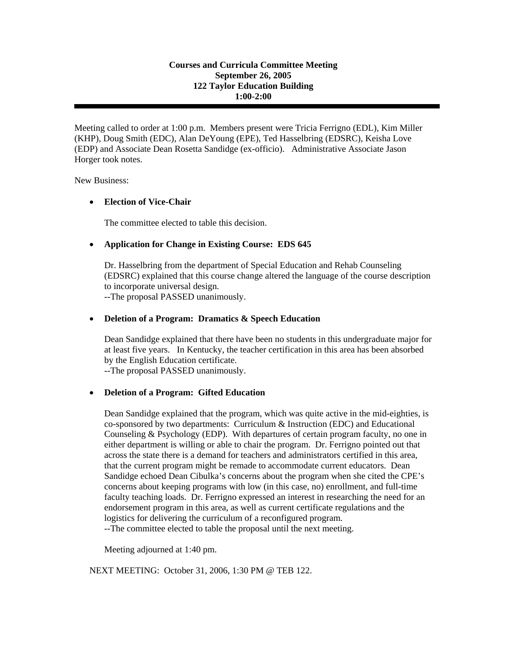#### **Courses and Curricula Committee Meeting September 26, 2005 122 Taylor Education Building 1:00-2:00**

Meeting called to order at 1:00 p.m. Members present were Tricia Ferrigno (EDL), Kim Miller (KHP), Doug Smith (EDC), Alan DeYoung (EPE), Ted Hasselbring (EDSRC), Keisha Love (EDP) and Associate Dean Rosetta Sandidge (ex-officio). Administrative Associate Jason Horger took notes.

New Business:

#### • **Election of Vice-Chair**

The committee elected to table this decision.

#### • **Application for Change in Existing Course: EDS 645**

 Dr. Hasselbring from the department of Special Education and Rehab Counseling (EDSRC) explained that this course change altered the language of the course description to incorporate universal design.

--The proposal PASSED unanimously.

#### • **Deletion of a Program: Dramatics & Speech Education**

Dean Sandidge explained that there have been no students in this undergraduate major for at least five years. In Kentucky, the teacher certification in this area has been absorbed by the English Education certificate.

--The proposal PASSED unanimously.

#### • **Deletion of a Program: Gifted Education**

 Dean Sandidge explained that the program, which was quite active in the mid-eighties, is co-sponsored by two departments: Curriculum & Instruction (EDC) and Educational Counseling & Psychology (EDP). With departures of certain program faculty, no one in either department is willing or able to chair the program. Dr. Ferrigno pointed out that across the state there is a demand for teachers and administrators certified in this area, that the current program might be remade to accommodate current educators. Dean Sandidge echoed Dean Cibulka's concerns about the program when she cited the CPE's concerns about keeping programs with low (in this case, no) enrollment, and full-time faculty teaching loads. Dr. Ferrigno expressed an interest in researching the need for an endorsement program in this area, as well as current certificate regulations and the logistics for delivering the curriculum of a reconfigured program.

--The committee elected to table the proposal until the next meeting.

Meeting adjourned at 1:40 pm.

NEXT MEETING: October 31, 2006, 1:30 PM @ TEB 122.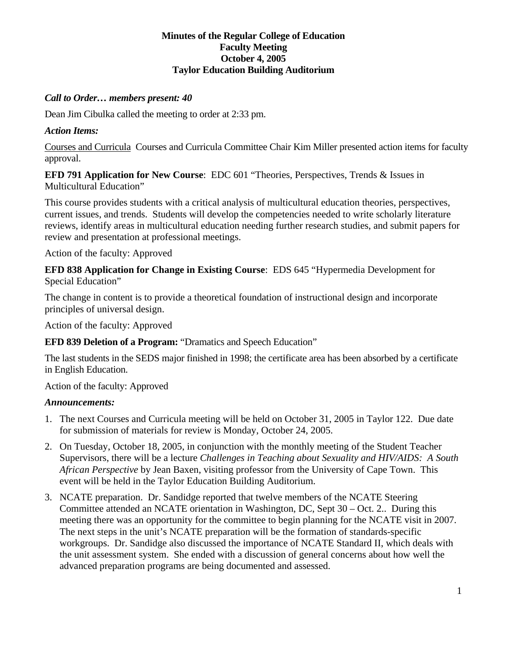### **Minutes of the Regular College of Education Faculty Meeting October 4, 2005 Taylor Education Building Auditorium**

# *Call to Order… members present: 40*

Dean Jim Cibulka called the meeting to order at 2:33 pm.

# *Action Items:*

Courses and Curricula Courses and Curricula Committee Chair Kim Miller presented action items for faculty approval.

**EFD 791 Application for New Course**: EDC 601 "Theories, Perspectives, Trends & Issues in Multicultural Education"

This course provides students with a critical analysis of multicultural education theories, perspectives, current issues, and trends. Students will develop the competencies needed to write scholarly literature reviews, identify areas in multicultural education needing further research studies, and submit papers for review and presentation at professional meetings.

Action of the faculty: Approved

**EFD 838 Application for Change in Existing Course**: EDS 645 "Hypermedia Development for Special Education"

The change in content is to provide a theoretical foundation of instructional design and incorporate principles of universal design.

Action of the faculty: Approved

**EFD 839 Deletion of a Program:** "Dramatics and Speech Education"

The last students in the SEDS major finished in 1998; the certificate area has been absorbed by a certificate in English Education.

Action of the faculty: Approved

# *Announcements:*

- 1. The next Courses and Curricula meeting will be held on October 31, 2005 in Taylor 122. Due date for submission of materials for review is Monday, October 24, 2005.
- 2. On Tuesday, October 18, 2005, in conjunction with the monthly meeting of the Student Teacher Supervisors, there will be a lecture *Challenges in Teaching about Sexuality and HIV/AIDS: A South African Perspective* by Jean Baxen, visiting professor from the University of Cape Town. This event will be held in the Taylor Education Building Auditorium.
- 3. NCATE preparation. Dr. Sandidge reported that twelve members of the NCATE Steering Committee attended an NCATE orientation in Washington, DC, Sept 30 – Oct. 2.. During this meeting there was an opportunity for the committee to begin planning for the NCATE visit in 2007. The next steps in the unit's NCATE preparation will be the formation of standards-specific workgroups. Dr. Sandidge also discussed the importance of NCATE Standard II, which deals with the unit assessment system. She ended with a discussion of general concerns about how well the advanced preparation programs are being documented and assessed.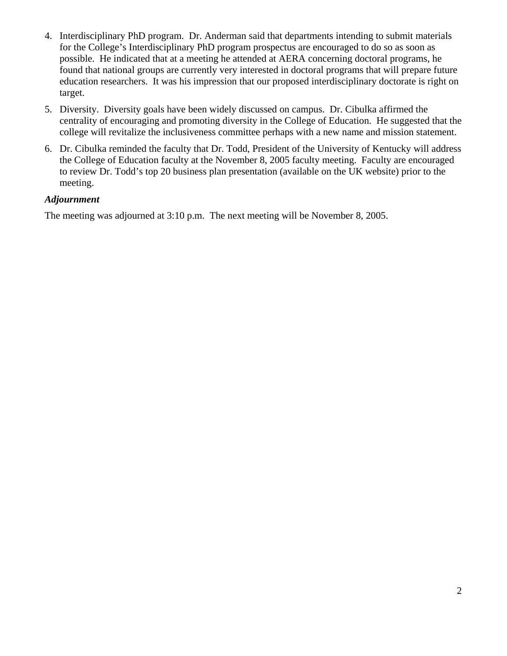- 4. Interdisciplinary PhD program. Dr. Anderman said that departments intending to submit materials for the College's Interdisciplinary PhD program prospectus are encouraged to do so as soon as possible. He indicated that at a meeting he attended at AERA concerning doctoral programs, he found that national groups are currently very interested in doctoral programs that will prepare future education researchers. It was his impression that our proposed interdisciplinary doctorate is right on target.
- 5. Diversity. Diversity goals have been widely discussed on campus. Dr. Cibulka affirmed the centrality of encouraging and promoting diversity in the College of Education. He suggested that the college will revitalize the inclusiveness committee perhaps with a new name and mission statement.
- 6. Dr. Cibulka reminded the faculty that Dr. Todd, President of the University of Kentucky will address the College of Education faculty at the November 8, 2005 faculty meeting. Faculty are encouraged to review Dr. Todd's top 20 business plan presentation (available on the UK website) prior to the meeting.

#### *Adjournment*

The meeting was adjourned at 3:10 p.m. The next meeting will be November 8, 2005.